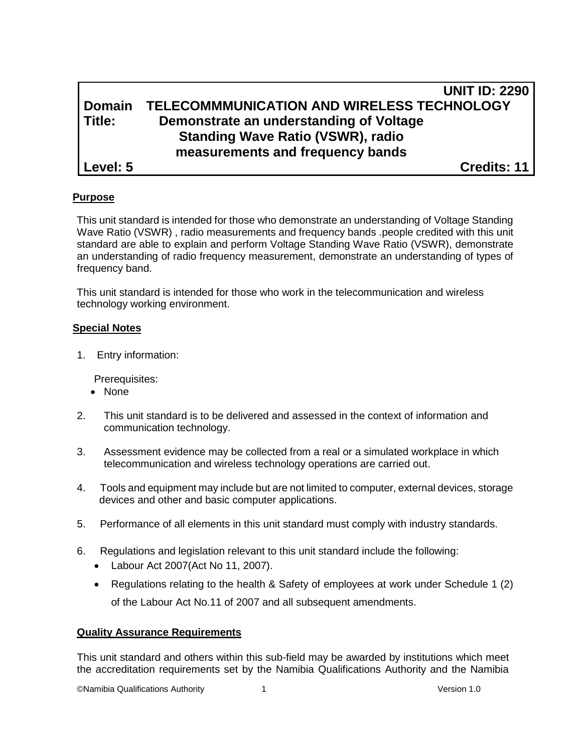# **UNIT ID: 2290 Domain TELECOMMMUNICATION AND WIRELESS TECHNOLOGY Title: Demonstrate an understanding of Voltage Standing Wave Ratio (VSWR), radio measurements and frequency bands Level: 5 Credits: 11**

## **Purpose**

This unit standard is intended for those who demonstrate an understanding of Voltage Standing Wave Ratio (VSWR) , radio measurements and frequency bands .people credited with this unit standard are able to explain and perform Voltage Standing Wave Ratio (VSWR), demonstrate an understanding of radio frequency measurement, demonstrate an understanding of types of frequency band.

This unit standard is intended for those who work in the telecommunication and wireless technology working environment.

#### **Special Notes**

1. Entry information:

Prerequisites:

- None
- 2. This unit standard is to be delivered and assessed in the context of information and communication technology.
- 3. Assessment evidence may be collected from a real or a simulated workplace in which telecommunication and wireless technology operations are carried out.
- 4. Tools and equipment may include but are not limited to computer, external devices, storage devices and other and basic computer applications.
- 5. Performance of all elements in this unit standard must comply with industry standards.
- 6. Regulations and legislation relevant to this unit standard include the following:
	- Labour Act 2007(Act No 11, 2007).
	- Regulations relating to the health & Safety of employees at work under Schedule 1 (2) of the Labour Act No.11 of 2007 and all subsequent amendments.

#### **Quality Assurance Requirements**

This unit standard and others within this sub-field may be awarded by institutions which meet the accreditation requirements set by the Namibia Qualifications Authority and the Namibia